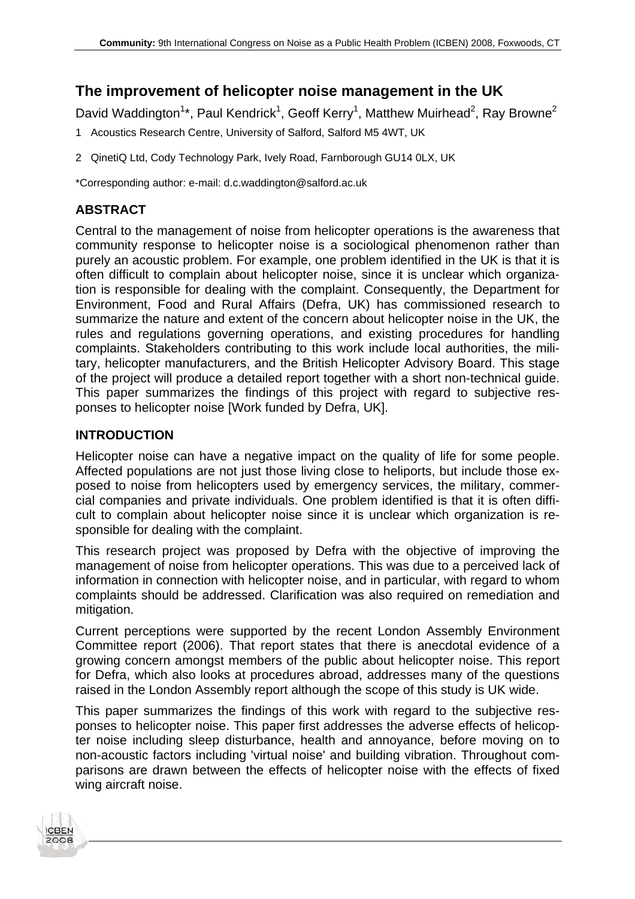# **The improvement of helicopter noise management in the UK**

David Waddington<sup>1\*</sup>, Paul Kendrick<sup>1</sup>, Geoff Kerry<sup>1</sup>, Matthew Muirhead<sup>2</sup>, Ray Browne<sup>2</sup>

- 1 Acoustics Research Centre, University of Salford, Salford M5 4WT, UK
- 2 QinetiQ Ltd, Cody Technology Park, Ively Road, Farnborough GU14 0LX, UK

\*Corresponding author: e-mail: d.c.waddington@salford.ac.uk

# **ABSTRACT**

Central to the management of noise from helicopter operations is the awareness that community response to helicopter noise is a sociological phenomenon rather than purely an acoustic problem. For example, one problem identified in the UK is that it is often difficult to complain about helicopter noise, since it is unclear which organization is responsible for dealing with the complaint. Consequently, the Department for Environment, Food and Rural Affairs (Defra, UK) has commissioned research to summarize the nature and extent of the concern about helicopter noise in the UK, the rules and regulations governing operations, and existing procedures for handling complaints. Stakeholders contributing to this work include local authorities, the military, helicopter manufacturers, and the British Helicopter Advisory Board. This stage of the project will produce a detailed report together with a short non-technical guide. This paper summarizes the findings of this project with regard to subjective responses to helicopter noise [Work funded by Defra, UK].

### **INTRODUCTION**

**CBEN** 2008 Helicopter noise can have a negative impact on the quality of life for some people. Affected populations are not just those living close to heliports, but include those exposed to noise from helicopters used by emergency services, the military, commercial companies and private individuals. One problem identified is that it is often difficult to complain about helicopter noise since it is unclear which organization is responsible for dealing with the complaint.

This research project was proposed by Defra with the objective of improving the management of noise from helicopter operations. This was due to a perceived lack of information in connection with helicopter noise, and in particular, with regard to whom complaints should be addressed. Clarification was also required on remediation and mitigation.

Current perceptions were supported by the recent London Assembly Environment Committee report (2006). That report states that there is anecdotal evidence of a growing concern amongst members of the public about helicopter noise. This report for Defra, which also looks at procedures abroad, addresses many of the questions raised in the London Assembly report although the scope of this study is UK wide.

This paper summarizes the findings of this work with regard to the subjective responses to helicopter noise. This paper first addresses the adverse effects of helicopter noise including sleep disturbance, health and annoyance, before moving on to non-acoustic factors including 'virtual noise' and building vibration. Throughout comparisons are drawn between the effects of helicopter noise with the effects of fixed wing aircraft noise.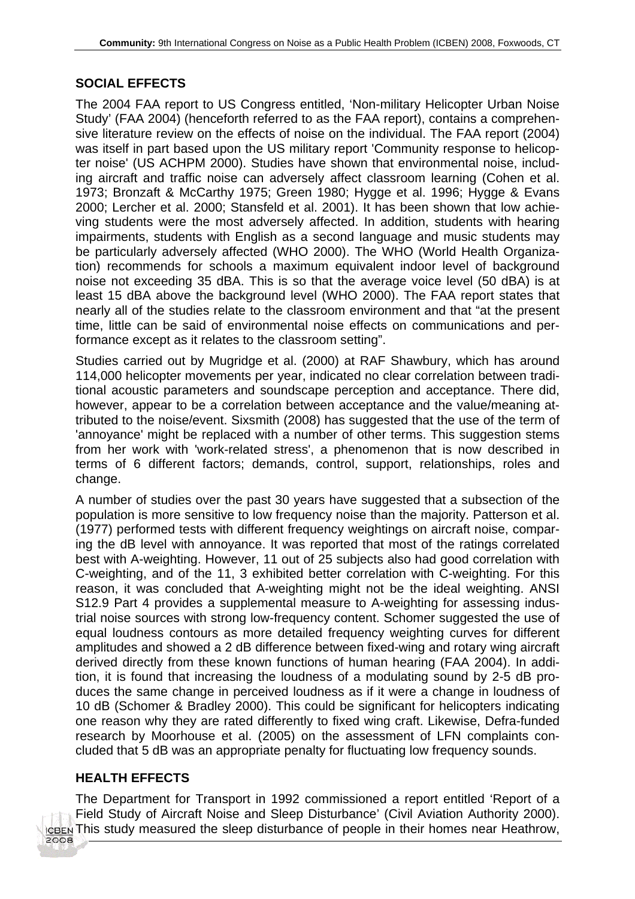# **SOCIAL EFFECTS**

The 2004 FAA report to US Congress entitled, 'Non-military Helicopter Urban Noise Study' (FAA 2004) (henceforth referred to as the FAA report), contains a comprehensive literature review on the effects of noise on the individual. The FAA report (2004) was itself in part based upon the US military report 'Community response to helicopter noise' (US ACHPM 2000). Studies have shown that environmental noise, including aircraft and traffic noise can adversely affect classroom learning (Cohen et al. 1973; Bronzaft & McCarthy 1975; Green 1980; Hygge et al. 1996; Hygge & Evans 2000; Lercher et al. 2000; Stansfeld et al. 2001). It has been shown that low achieving students were the most adversely affected. In addition, students with hearing impairments, students with English as a second language and music students may be particularly adversely affected (WHO 2000). The WHO (World Health Organization) recommends for schools a maximum equivalent indoor level of background noise not exceeding 35 dBA. This is so that the average voice level (50 dBA) is at least 15 dBA above the background level (WHO 2000). The FAA report states that nearly all of the studies relate to the classroom environment and that "at the present time, little can be said of environmental noise effects on communications and performance except as it relates to the classroom setting".

Studies carried out by Mugridge et al. (2000) at RAF Shawbury, which has around 114,000 helicopter movements per year, indicated no clear correlation between traditional acoustic parameters and soundscape perception and acceptance. There did, however, appear to be a correlation between acceptance and the value/meaning attributed to the noise/event. Sixsmith (2008) has suggested that the use of the term of 'annoyance' might be replaced with a number of other terms. This suggestion stems from her work with 'work-related stress', a phenomenon that is now described in terms of 6 different factors; demands, control, support, relationships, roles and change.

A number of studies over the past 30 years have suggested that a subsection of the population is more sensitive to low frequency noise than the majority. Patterson et al. (1977) performed tests with different frequency weightings on aircraft noise, comparing the dB level with annoyance. It was reported that most of the ratings correlated best with A-weighting. However, 11 out of 25 subjects also had good correlation with C-weighting, and of the 11, 3 exhibited better correlation with C-weighting. For this reason, it was concluded that A-weighting might not be the ideal weighting. ANSI S12.9 Part 4 provides a supplemental measure to A-weighting for assessing industrial noise sources with strong low-frequency content. Schomer suggested the use of equal loudness contours as more detailed frequency weighting curves for different amplitudes and showed a 2 dB difference between fixed-wing and rotary wing aircraft derived directly from these known functions of human hearing (FAA 2004). In addition, it is found that increasing the loudness of a modulating sound by 2-5 dB produces the same change in perceived loudness as if it were a change in loudness of 10 dB (Schomer & Bradley 2000). This could be significant for helicopters indicating one reason why they are rated differently to fixed wing craft. Likewise, Defra-funded research by Moorhouse et al. (2005) on the assessment of LFN complaints concluded that 5 dB was an appropriate penalty for fluctuating low frequency sounds.

### **HEALTH EFFECTS**

2008

The Department for Transport in 1992 commissioned a report entitled 'Report of a Field Study of Aircraft Noise and Sleep Disturbance' (Civil Aviation Authority 2000). This study measured the sleep disturbance of people in their homes near Heathrow,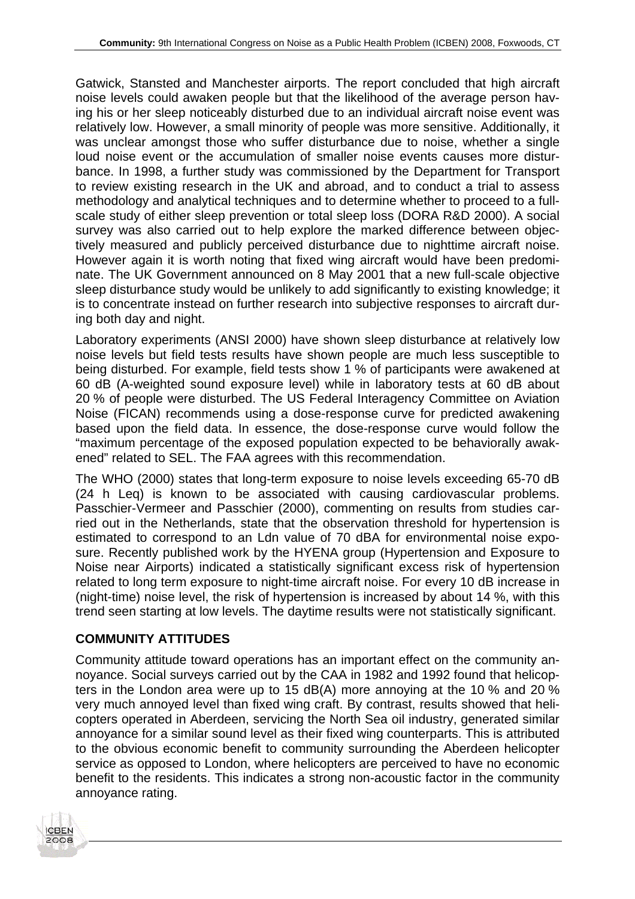Gatwick, Stansted and Manchester airports. The report concluded that high aircraft noise levels could awaken people but that the likelihood of the average person having his or her sleep noticeably disturbed due to an individual aircraft noise event was relatively low. However, a small minority of people was more sensitive. Additionally, it was unclear amongst those who suffer disturbance due to noise, whether a single loud noise event or the accumulation of smaller noise events causes more disturbance. In 1998, a further study was commissioned by the Department for Transport to review existing research in the UK and abroad, and to conduct a trial to assess methodology and analytical techniques and to determine whether to proceed to a fullscale study of either sleep prevention or total sleep loss (DORA R&D 2000). A social survey was also carried out to help explore the marked difference between objectively measured and publicly perceived disturbance due to nighttime aircraft noise. However again it is worth noting that fixed wing aircraft would have been predominate. The UK Government announced on 8 May 2001 that a new full-scale objective sleep disturbance study would be unlikely to add significantly to existing knowledge; it is to concentrate instead on further research into subjective responses to aircraft during both day and night.

Laboratory experiments (ANSI 2000) have shown sleep disturbance at relatively low noise levels but field tests results have shown people are much less susceptible to being disturbed. For example, field tests show 1 % of participants were awakened at 60 dB (A-weighted sound exposure level) while in laboratory tests at 60 dB about 20 % of people were disturbed. The US Federal Interagency Committee on Aviation Noise (FICAN) recommends using a dose-response curve for predicted awakening based upon the field data. In essence, the dose-response curve would follow the "maximum percentage of the exposed population expected to be behaviorally awakened" related to SEL. The FAA agrees with this recommendation.

The WHO (2000) states that long-term exposure to noise levels exceeding 65-70 dB (24 h Leq) is known to be associated with causing cardiovascular problems. Passchier-Vermeer and Passchier (2000), commenting on results from studies carried out in the Netherlands, state that the observation threshold for hypertension is estimated to correspond to an Ldn value of 70 dBA for environmental noise exposure. Recently published work by the HYENA group (Hypertension and Exposure to Noise near Airports) indicated a statistically significant excess risk of hypertension related to long term exposure to night-time aircraft noise. For every 10 dB increase in (night-time) noise level, the risk of hypertension is increased by about 14 %, with this trend seen starting at low levels. The daytime results were not statistically significant.

# **COMMUNITY ATTITUDES**

Community attitude toward operations has an important effect on the community annoyance. Social surveys carried out by the CAA in 1982 and 1992 found that helicopters in the London area were up to 15 dB(A) more annoying at the 10 % and 20 % very much annoyed level than fixed wing craft. By contrast, results showed that helicopters operated in Aberdeen, servicing the North Sea oil industry, generated similar annoyance for a similar sound level as their fixed wing counterparts. This is attributed to the obvious economic benefit to community surrounding the Aberdeen helicopter service as opposed to London, where helicopters are perceived to have no economic benefit to the residents. This indicates a strong non-acoustic factor in the community annoyance rating.

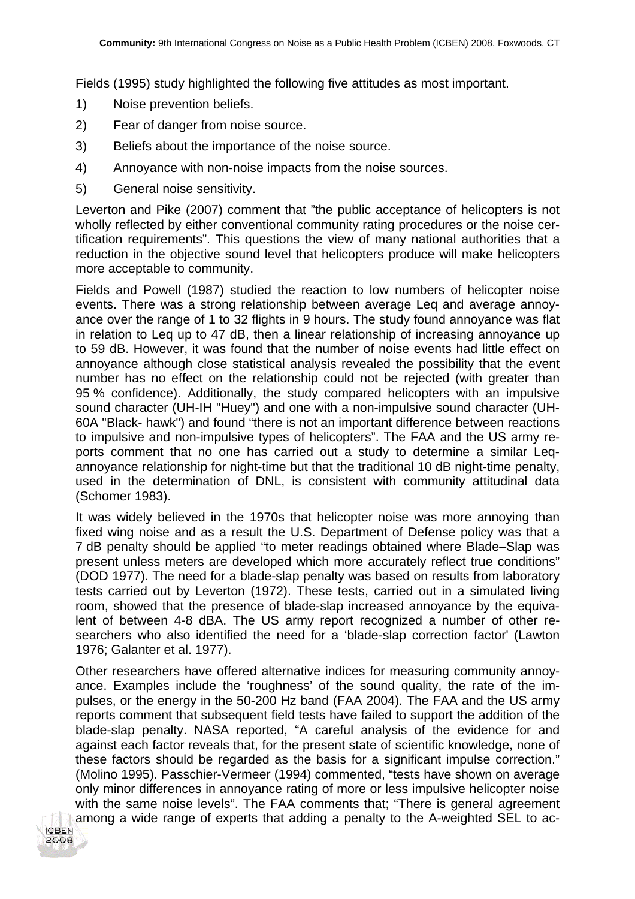Fields (1995) study highlighted the following five attitudes as most important.

- 1) Noise prevention beliefs.
- 2) Fear of danger from noise source.
- 3) Beliefs about the importance of the noise source.
- 4) Annoyance with non-noise impacts from the noise sources.
- 5) General noise sensitivity.

Leverton and Pike (2007) comment that "the public acceptance of helicopters is not wholly reflected by either conventional community rating procedures or the noise certification requirements". This questions the view of many national authorities that a reduction in the objective sound level that helicopters produce will make helicopters more acceptable to community.

Fields and Powell (1987) studied the reaction to low numbers of helicopter noise events. There was a strong relationship between average Leq and average annoyance over the range of 1 to 32 flights in 9 hours. The study found annoyance was flat in relation to Leq up to 47 dB, then a linear relationship of increasing annoyance up to 59 dB. However, it was found that the number of noise events had little effect on annoyance although close statistical analysis revealed the possibility that the event number has no effect on the relationship could not be rejected (with greater than 95 % confidence). Additionally, the study compared helicopters with an impulsive sound character (UH-IH "Huey") and one with a non-impulsive sound character (UH-60A "Black- hawk") and found "there is not an important difference between reactions to impulsive and non-impulsive types of helicopters". The FAA and the US army reports comment that no one has carried out a study to determine a similar Leqannoyance relationship for night-time but that the traditional 10 dB night-time penalty, used in the determination of DNL, is consistent with community attitudinal data (Schomer 1983).

It was widely believed in the 1970s that helicopter noise was more annoying than fixed wing noise and as a result the U.S. Department of Defense policy was that a 7 dB penalty should be applied "to meter readings obtained where Blade–Slap was present unless meters are developed which more accurately reflect true conditions" (DOD 1977). The need for a blade-slap penalty was based on results from laboratory tests carried out by Leverton (1972). These tests, carried out in a simulated living room, showed that the presence of blade-slap increased annoyance by the equivalent of between 4-8 dBA. The US army report recognized a number of other researchers who also identified the need for a 'blade-slap correction factor' (Lawton 1976; Galanter et al. 1977).

Other researchers have offered alternative indices for measuring community annoyance. Examples include the 'roughness' of the sound quality, the rate of the impulses, or the energy in the 50-200 Hz band (FAA 2004). The FAA and the US army reports comment that subsequent field tests have failed to support the addition of the blade-slap penalty. NASA reported, "A careful analysis of the evidence for and against each factor reveals that, for the present state of scientific knowledge, none of these factors should be regarded as the basis for a significant impulse correction." (Molino 1995). Passchier-Vermeer (1994) commented, "tests have shown on average only minor differences in annoyance rating of more or less impulsive helicopter noise with the same noise levels". The FAA comments that; "There is general agreement among a wide range of experts that adding a penalty to the A-weighted SEL to ac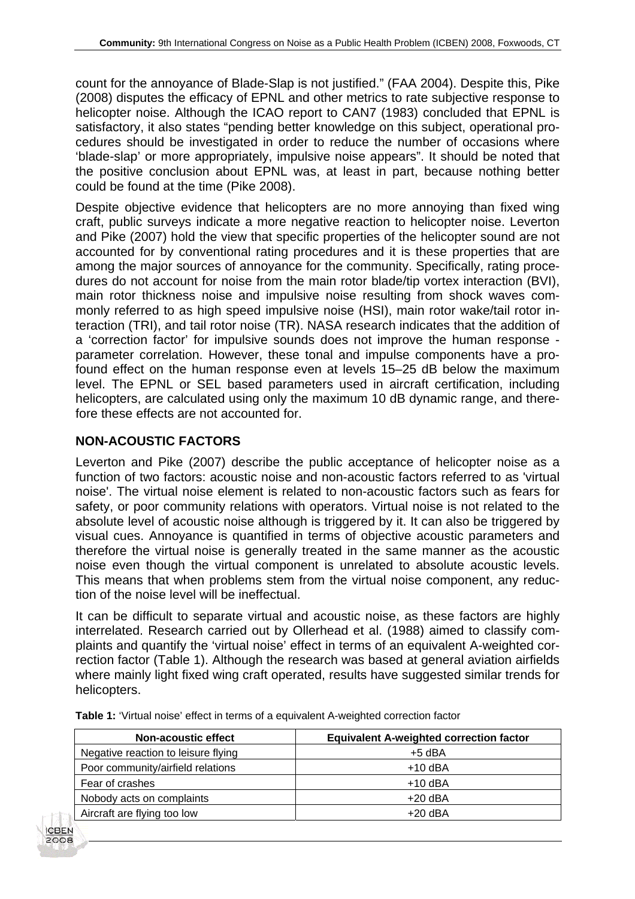count for the annoyance of Blade-Slap is not justified." (FAA 2004). Despite this, Pike (2008) disputes the efficacy of EPNL and other metrics to rate subjective response to helicopter noise. Although the ICAO report to CAN7 (1983) concluded that EPNL is satisfactory, it also states "pending better knowledge on this subject, operational procedures should be investigated in order to reduce the number of occasions where 'blade-slap' or more appropriately, impulsive noise appears". It should be noted that the positive conclusion about EPNL was, at least in part, because nothing better could be found at the time (Pike 2008).

Despite objective evidence that helicopters are no more annoying than fixed wing craft, public surveys indicate a more negative reaction to helicopter noise. Leverton and Pike (2007) hold the view that specific properties of the helicopter sound are not accounted for by conventional rating procedures and it is these properties that are among the major sources of annoyance for the community. Specifically, rating procedures do not account for noise from the main rotor blade/tip vortex interaction (BVI), main rotor thickness noise and impulsive noise resulting from shock waves commonly referred to as high speed impulsive noise (HSI), main rotor wake/tail rotor interaction (TRI), and tail rotor noise (TR). NASA research indicates that the addition of a 'correction factor' for impulsive sounds does not improve the human response parameter correlation. However, these tonal and impulse components have a profound effect on the human response even at levels 15–25 dB below the maximum level. The EPNL or SEL based parameters used in aircraft certification, including helicopters, are calculated using only the maximum 10 dB dynamic range, and therefore these effects are not accounted for.

### **NON-ACOUSTIC FACTORS**

Leverton and Pike (2007) describe the public acceptance of helicopter noise as a function of two factors: acoustic noise and non-acoustic factors referred to as 'virtual noise'. The virtual noise element is related to non-acoustic factors such as fears for safety, or poor community relations with operators. Virtual noise is not related to the absolute level of acoustic noise although is triggered by it. It can also be triggered by visual cues. Annoyance is quantified in terms of objective acoustic parameters and therefore the virtual noise is generally treated in the same manner as the acoustic noise even though the virtual component is unrelated to absolute acoustic levels. This means that when problems stem from the virtual noise component, any reduction of the noise level will be ineffectual.

It can be difficult to separate virtual and acoustic noise, as these factors are highly interrelated. Research carried out by Ollerhead et al. (1988) aimed to classify complaints and quantify the 'virtual noise' effect in terms of an equivalent A-weighted correction factor (Table 1). Although the research was based at general aviation airfields where mainly light fixed wing craft operated, results have suggested similar trends for helicopters.

| Non-acoustic effect                 | <b>Equivalent A-weighted correction factor</b> |
|-------------------------------------|------------------------------------------------|
| Negative reaction to leisure flying | $+5$ dBA                                       |
| Poor community/airfield relations   | $+10$ dBA                                      |
| Fear of crashes                     | $+10$ dBA                                      |
| Nobody acts on complaints           | $+20$ dBA                                      |
| Aircraft are flying too low         | $+20$ dBA                                      |

**Table 1:** 'Virtual noise' effect in terms of a equivalent A-weighted correction factor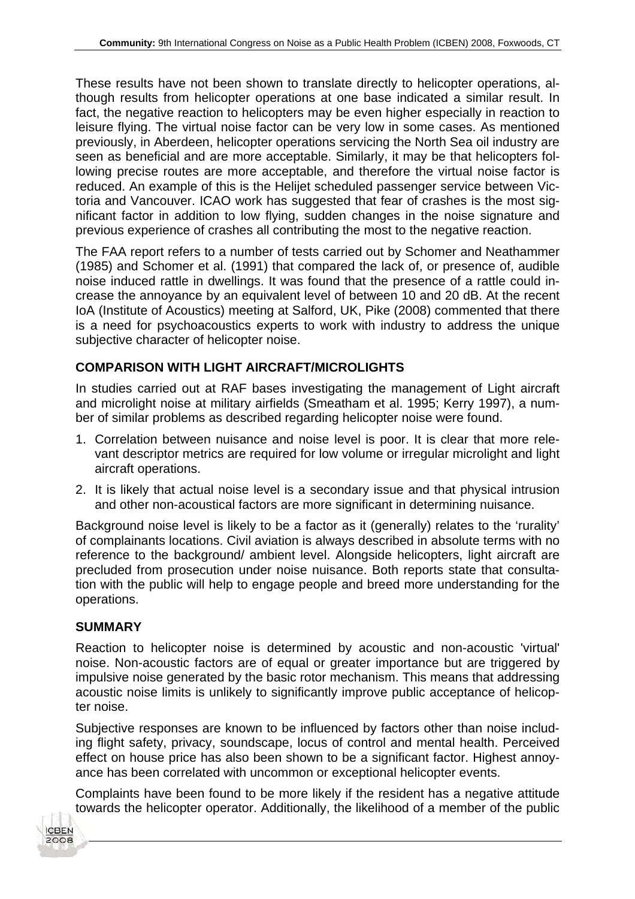These results have not been shown to translate directly to helicopter operations, although results from helicopter operations at one base indicated a similar result. In fact, the negative reaction to helicopters may be even higher especially in reaction to leisure flying. The virtual noise factor can be very low in some cases. As mentioned previously, in Aberdeen, helicopter operations servicing the North Sea oil industry are seen as beneficial and are more acceptable. Similarly, it may be that helicopters following precise routes are more acceptable, and therefore the virtual noise factor is reduced. An example of this is the Helijet scheduled passenger service between Victoria and Vancouver. ICAO work has suggested that fear of crashes is the most significant factor in addition to low flying, sudden changes in the noise signature and previous experience of crashes all contributing the most to the negative reaction.

The FAA report refers to a number of tests carried out by Schomer and Neathammer (1985) and Schomer et al. (1991) that compared the lack of, or presence of, audible noise induced rattle in dwellings. It was found that the presence of a rattle could increase the annoyance by an equivalent level of between 10 and 20 dB. At the recent IoA (Institute of Acoustics) meeting at Salford, UK, Pike (2008) commented that there is a need for psychoacoustics experts to work with industry to address the unique subjective character of helicopter noise.

### **COMPARISON WITH LIGHT AIRCRAFT/MICROLIGHTS**

In studies carried out at RAF bases investigating the management of Light aircraft and microlight noise at military airfields (Smeatham et al. 1995; Kerry 1997), a number of similar problems as described regarding helicopter noise were found.

- 1. Correlation between nuisance and noise level is poor. It is clear that more relevant descriptor metrics are required for low volume or irregular microlight and light aircraft operations.
- 2. It is likely that actual noise level is a secondary issue and that physical intrusion and other non-acoustical factors are more significant in determining nuisance.

Background noise level is likely to be a factor as it (generally) relates to the 'rurality' of complainants locations. Civil aviation is always described in absolute terms with no reference to the background/ ambient level. Alongside helicopters, light aircraft are precluded from prosecution under noise nuisance. Both reports state that consultation with the public will help to engage people and breed more understanding for the operations.

### **SUMMARY**

Reaction to helicopter noise is determined by acoustic and non-acoustic 'virtual' noise. Non-acoustic factors are of equal or greater importance but are triggered by impulsive noise generated by the basic rotor mechanism. This means that addressing acoustic noise limits is unlikely to significantly improve public acceptance of helicopter noise.

Subjective responses are known to be influenced by factors other than noise including flight safety, privacy, soundscape, locus of control and mental health. Perceived effect on house price has also been shown to be a significant factor. Highest annoyance has been correlated with uncommon or exceptional helicopter events.

Complaints have been found to be more likely if the resident has a negative attitude towards the helicopter operator. Additionally, the likelihood of a member of the public

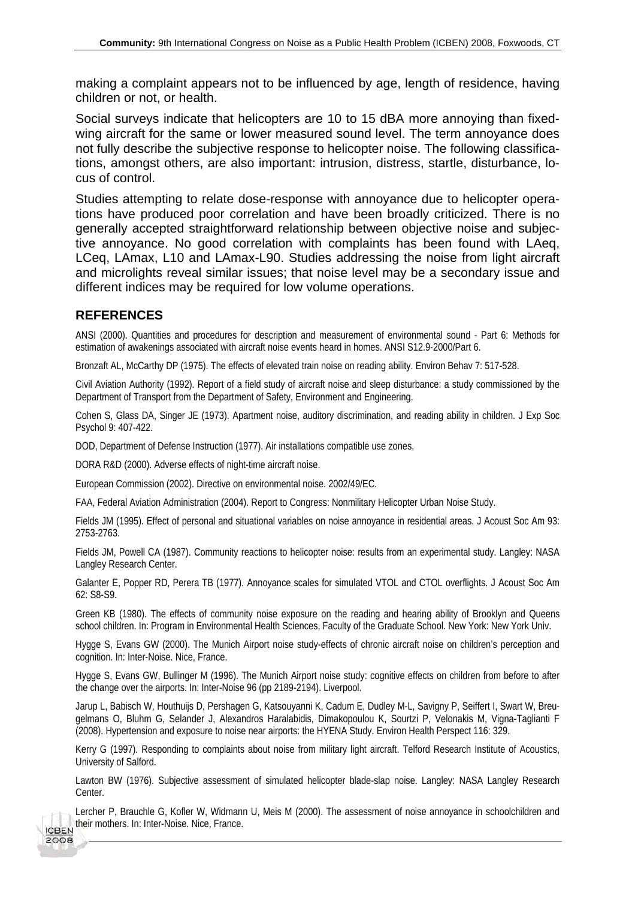making a complaint appears not to be influenced by age, length of residence, having children or not, or health.

Social surveys indicate that helicopters are 10 to 15 dBA more annoying than fixedwing aircraft for the same or lower measured sound level. The term annoyance does not fully describe the subjective response to helicopter noise. The following classifications, amongst others, are also important: intrusion, distress, startle, disturbance, locus of control.

Studies attempting to relate dose-response with annoyance due to helicopter operations have produced poor correlation and have been broadly criticized. There is no generally accepted straightforward relationship between objective noise and subjective annoyance. No good correlation with complaints has been found with LAeq, LCeq, LAmax, L10 and LAmax-L90. Studies addressing the noise from light aircraft and microlights reveal similar issues; that noise level may be a secondary issue and different indices may be required for low volume operations.

#### **REFERENCES**

2008

ANSI (2000). Quantities and procedures for description and measurement of environmental sound - Part 6: Methods for estimation of awakenings associated with aircraft noise events heard in homes. ANSI S12.9-2000/Part 6.

Bronzaft AL, McCarthy DP (1975). The effects of elevated train noise on reading ability. Environ Behav 7: 517-528.

Civil Aviation Authority (1992). Report of a field study of aircraft noise and sleep disturbance: a study commissioned by the Department of Transport from the Department of Safety, Environment and Engineering.

Cohen S, Glass DA, Singer JE (1973). Apartment noise, auditory discrimination, and reading ability in children. J Exp Soc Psychol 9: 407-422.

DOD, Department of Defense Instruction (1977). Air installations compatible use zones.

DORA R&D (2000). Adverse effects of night-time aircraft noise.

European Commission (2002). Directive on environmental noise. 2002/49/EC.

FAA, Federal Aviation Administration (2004). Report to Congress: Nonmilitary Helicopter Urban Noise Study.

Fields JM (1995). Effect of personal and situational variables on noise annoyance in residential areas. J Acoust Soc Am 93: 2753-2763.

Fields JM, Powell CA (1987). Community reactions to helicopter noise: results from an experimental study. Langley: NASA Langley Research Center.

Galanter E, Popper RD, Perera TB (1977). Annoyance scales for simulated VTOL and CTOL overflights. J Acoust Soc Am 62: S8-S9.

Green KB (1980). The effects of community noise exposure on the reading and hearing ability of Brooklyn and Queens school children. In: Program in Environmental Health Sciences, Faculty of the Graduate School. New York: New York Univ.

Hygge S, Evans GW (2000). The Munich Airport noise study-effects of chronic aircraft noise on children's perception and cognition. In: Inter-Noise. Nice, France.

Hygge S, Evans GW, Bullinger M (1996). The Munich Airport noise study: cognitive effects on children from before to after the change over the airports. In: Inter-Noise 96 (pp 2189-2194). Liverpool.

Jarup L, Babisch W, Houthuijs D, Pershagen G, Katsouyanni K, Cadum E, Dudley M-L, Savigny P, Seiffert I, Swart W, Breugelmans O, Bluhm G, Selander J, Alexandros Haralabidis, Dimakopoulou K, Sourtzi P, Velonakis M, Vigna-Taglianti F (2008). Hypertension and exposure to noise near airports: the HYENA Study. Environ Health Perspect 116: 329.

Kerry G (1997). Responding to complaints about noise from military light aircraft. Telford Research Institute of Acoustics, University of Salford.

Lawton BW (1976). Subjective assessment of simulated helicopter blade-slap noise. Langley: NASA Langley Research Center.

Lercher P, Brauchle G, Kofler W, Widmann U, Meis M (2000). The assessment of noise annoyance in schoolchildren and their mothers. In: Inter-Noise. Nice, France.